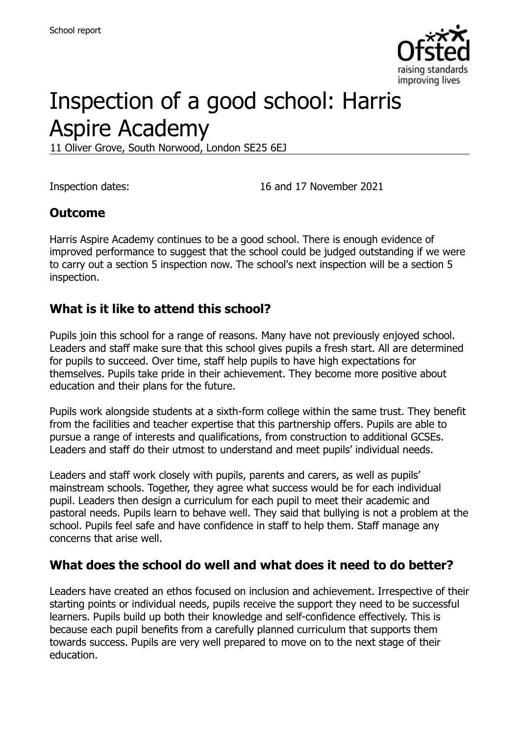

# Inspection of a good school: Harris Aspire Academy

11 Oliver Grove, South Norwood, London SE25 6EJ

Inspection dates: 16 and 17 November 2021

#### **Outcome**

Harris Aspire Academy continues to be a good school. There is enough evidence of improved performance to suggest that the school could be judged outstanding if we were to carry out a section 5 inspection now. The school's next inspection will be a section 5 inspection.

#### **What is it like to attend this school?**

Pupils join this school for a range of reasons. Many have not previously enjoyed school. Leaders and staff make sure that this school gives pupils a fresh start. All are determined for pupils to succeed. Over time, staff help pupils to have high expectations for themselves. Pupils take pride in their achievement. They become more positive about education and their plans for the future.

Pupils work alongside students at a sixth-form college within the same trust. They benefit from the facilities and teacher expertise that this partnership offers. Pupils are able to pursue a range of interests and qualifications, from construction to additional GCSEs. Leaders and staff do their utmost to understand and meet pupils' individual needs.

Leaders and staff work closely with pupils, parents and carers, as well as pupils' mainstream schools. Together, they agree what success would be for each individual pupil. Leaders then design a curriculum for each pupil to meet their academic and pastoral needs. Pupils learn to behave well. They said that bullying is not a problem at the school. Pupils feel safe and have confidence in staff to help them. Staff manage any concerns that arise well.

#### **What does the school do well and what does it need to do better?**

Leaders have created an ethos focused on inclusion and achievement. Irrespective of their starting points or individual needs, pupils receive the support they need to be successful learners. Pupils build up both their knowledge and self-confidence effectively. This is because each pupil benefits from a carefully planned curriculum that supports them towards success. Pupils are very well prepared to move on to the next stage of their education.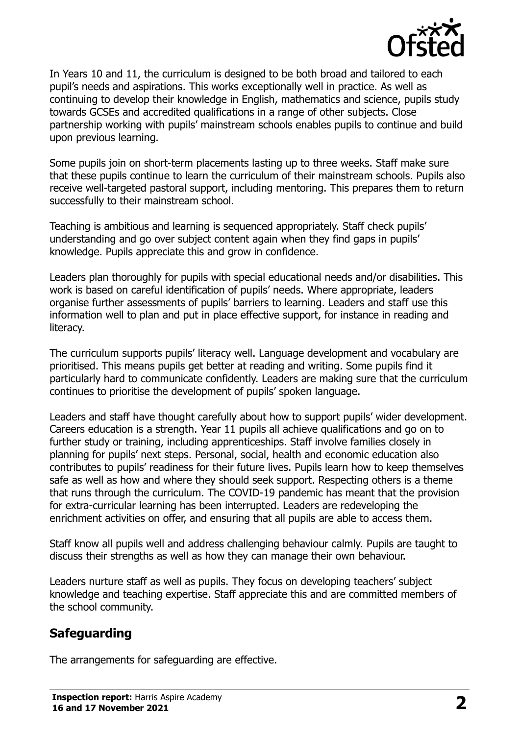

In Years 10 and 11, the curriculum is designed to be both broad and tailored to each pupil's needs and aspirations. This works exceptionally well in practice. As well as continuing to develop their knowledge in English, mathematics and science, pupils study towards GCSEs and accredited qualifications in a range of other subjects. Close partnership working with pupils' mainstream schools enables pupils to continue and build upon previous learning.

Some pupils join on short-term placements lasting up to three weeks. Staff make sure that these pupils continue to learn the curriculum of their mainstream schools. Pupils also receive well-targeted pastoral support, including mentoring. This prepares them to return successfully to their mainstream school.

Teaching is ambitious and learning is sequenced appropriately. Staff check pupils' understanding and go over subject content again when they find gaps in pupils' knowledge. Pupils appreciate this and grow in confidence.

Leaders plan thoroughly for pupils with special educational needs and/or disabilities. This work is based on careful identification of pupils' needs. Where appropriate, leaders organise further assessments of pupils' barriers to learning. Leaders and staff use this information well to plan and put in place effective support, for instance in reading and literacy.

The curriculum supports pupils' literacy well. Language development and vocabulary are prioritised. This means pupils get better at reading and writing. Some pupils find it particularly hard to communicate confidently. Leaders are making sure that the curriculum continues to prioritise the development of pupils' spoken language.

Leaders and staff have thought carefully about how to support pupils' wider development. Careers education is a strength. Year 11 pupils all achieve qualifications and go on to further study or training, including apprenticeships. Staff involve families closely in planning for pupils' next steps. Personal, social, health and economic education also contributes to pupils' readiness for their future lives. Pupils learn how to keep themselves safe as well as how and where they should seek support. Respecting others is a theme that runs through the curriculum. The COVID-19 pandemic has meant that the provision for extra-curricular learning has been interrupted. Leaders are redeveloping the enrichment activities on offer, and ensuring that all pupils are able to access them.

Staff know all pupils well and address challenging behaviour calmly. Pupils are taught to discuss their strengths as well as how they can manage their own behaviour.

Leaders nurture staff as well as pupils. They focus on developing teachers' subject knowledge and teaching expertise. Staff appreciate this and are committed members of the school community.

## **Safeguarding**

The arrangements for safeguarding are effective.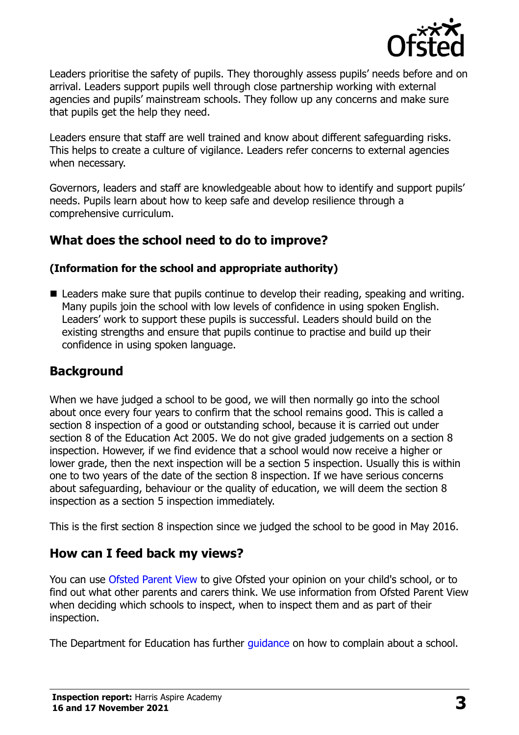

Leaders prioritise the safety of pupils. They thoroughly assess pupils' needs before and on arrival. Leaders support pupils well through close partnership working with external agencies and pupils' mainstream schools. They follow up any concerns and make sure that pupils get the help they need.

Leaders ensure that staff are well trained and know about different safeguarding risks. This helps to create a culture of vigilance. Leaders refer concerns to external agencies when necessary.

Governors, leaders and staff are knowledgeable about how to identify and support pupils' needs. Pupils learn about how to keep safe and develop resilience through a comprehensive curriculum.

#### **What does the school need to do to improve?**

#### **(Information for the school and appropriate authority)**

■ Leaders make sure that pupils continue to develop their reading, speaking and writing. Many pupils join the school with low levels of confidence in using spoken English. Leaders' work to support these pupils is successful. Leaders should build on the existing strengths and ensure that pupils continue to practise and build up their confidence in using spoken language.

#### **Background**

When we have judged a school to be good, we will then normally go into the school about once every four years to confirm that the school remains good. This is called a section 8 inspection of a good or outstanding school, because it is carried out under section 8 of the Education Act 2005. We do not give graded judgements on a section 8 inspection. However, if we find evidence that a school would now receive a higher or lower grade, then the next inspection will be a section 5 inspection. Usually this is within one to two years of the date of the section 8 inspection. If we have serious concerns about safeguarding, behaviour or the quality of education, we will deem the section 8 inspection as a section 5 inspection immediately.

This is the first section 8 inspection since we judged the school to be good in May 2016.

#### **How can I feed back my views?**

You can use [Ofsted Parent View](https://parentview.ofsted.gov.uk/) to give Ofsted your opinion on your child's school, or to find out what other parents and carers think. We use information from Ofsted Parent View when deciding which schools to inspect, when to inspect them and as part of their inspection.

The Department for Education has further quidance on how to complain about a school.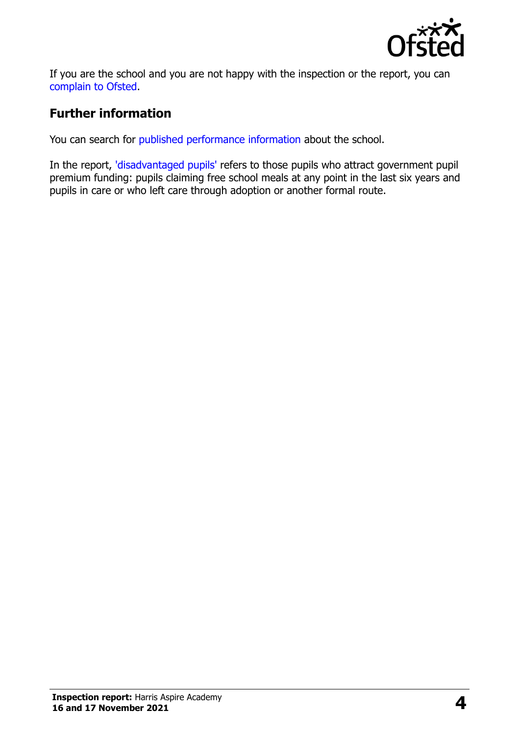

If you are the school and you are not happy with the inspection or the report, you can [complain to Ofsted.](https://www.gov.uk/complain-ofsted-report)

#### **Further information**

You can search for [published performance information](http://www.compare-school-performance.service.gov.uk/) about the school.

In the report, ['disadvantaged pupils'](http://www.gov.uk/guidance/pupil-premium-information-for-schools-and-alternative-provision-settings) refers to those pupils who attract government pupil premium funding: pupils claiming free school meals at any point in the last six years and pupils in care or who left care through adoption or another formal route.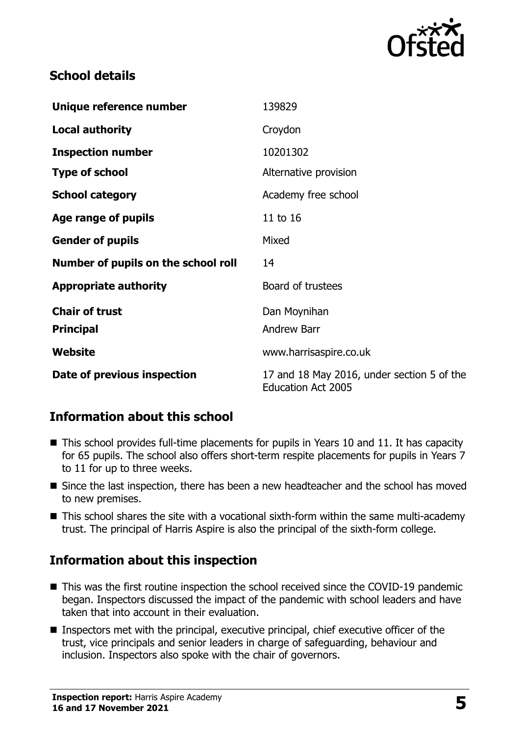

#### **School details**

| Unique reference number             | 139829                                                                  |
|-------------------------------------|-------------------------------------------------------------------------|
| <b>Local authority</b>              | Croydon                                                                 |
| <b>Inspection number</b>            | 10201302                                                                |
| <b>Type of school</b>               | Alternative provision                                                   |
| <b>School category</b>              | Academy free school                                                     |
| Age range of pupils                 | 11 to 16                                                                |
| <b>Gender of pupils</b>             | Mixed                                                                   |
| Number of pupils on the school roll | 14                                                                      |
| <b>Appropriate authority</b>        | Board of trustees                                                       |
| <b>Chair of trust</b>               | Dan Moynihan                                                            |
| <b>Principal</b>                    | <b>Andrew Barr</b>                                                      |
| <b>Website</b>                      | www.harrisaspire.co.uk                                                  |
| Date of previous inspection         | 17 and 18 May 2016, under section 5 of the<br><b>Education Act 2005</b> |

## **Information about this school**

- This school provides full-time placements for pupils in Years 10 and 11. It has capacity for 65 pupils. The school also offers short-term respite placements for pupils in Years 7 to 11 for up to three weeks.
- Since the last inspection, there has been a new headteacher and the school has moved to new premises.
- This school shares the site with a vocational sixth-form within the same multi-academy trust. The principal of Harris Aspire is also the principal of the sixth-form college.

## **Information about this inspection**

- This was the first routine inspection the school received since the COVID-19 pandemic began. Inspectors discussed the impact of the pandemic with school leaders and have taken that into account in their evaluation.
- Inspectors met with the principal, executive principal, chief executive officer of the trust, vice principals and senior leaders in charge of safeguarding, behaviour and inclusion. Inspectors also spoke with the chair of governors.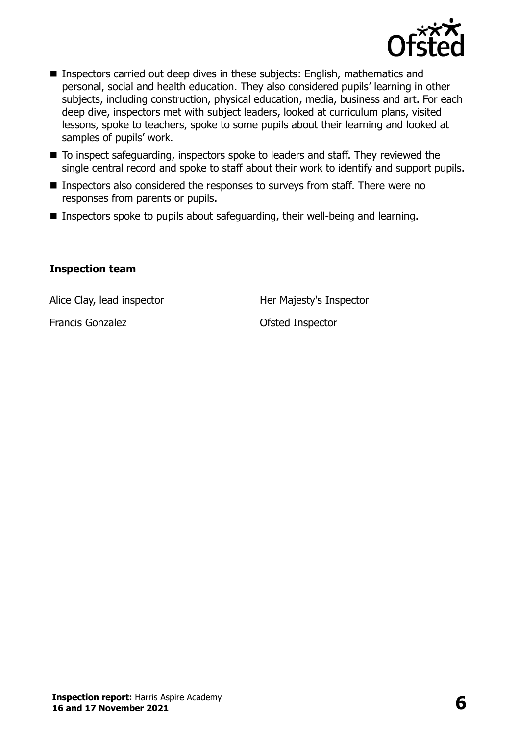

- Inspectors carried out deep dives in these subjects: English, mathematics and personal, social and health education. They also considered pupils' learning in other subjects, including construction, physical education, media, business and art. For each deep dive, inspectors met with subject leaders, looked at curriculum plans, visited lessons, spoke to teachers, spoke to some pupils about their learning and looked at samples of pupils' work.
- To inspect safeguarding, inspectors spoke to leaders and staff. They reviewed the single central record and spoke to staff about their work to identify and support pupils.
- Inspectors also considered the responses to surveys from staff. There were no responses from parents or pupils.
- Inspectors spoke to pupils about safeguarding, their well-being and learning.

#### **Inspection team**

Alice Clay, lead inspector **Her Majesty's Inspector** 

Francis Gonzalez **Contact Contact Contact Contact Contact Contact Contact Contact Contact Contact Contact Contact Contact Contact Contact Contact Contact Contact Contact Contact Contact Contact Contact Contact Contact Cont**